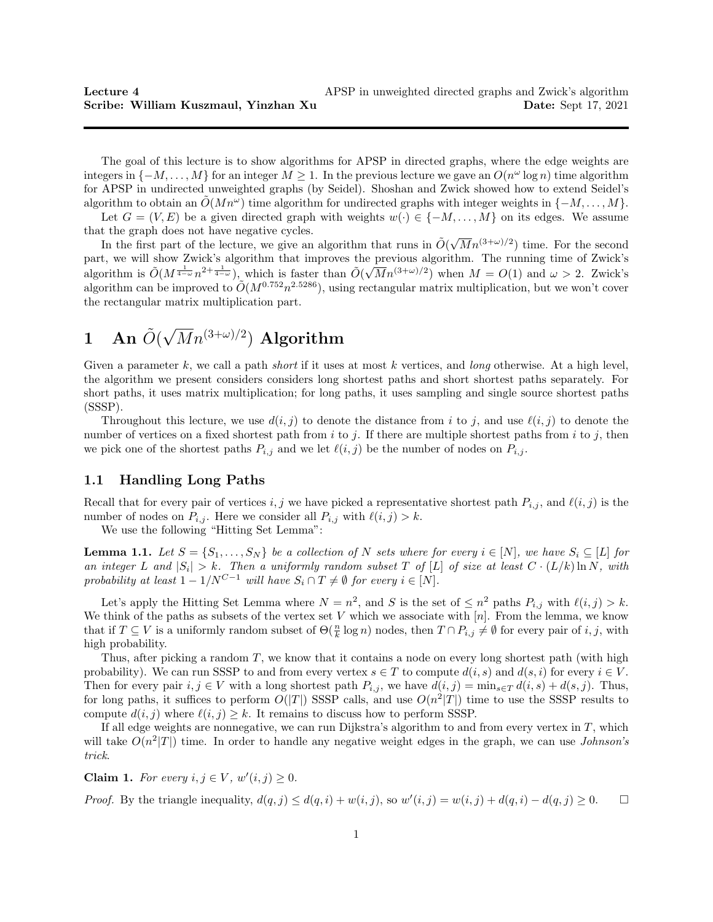The goal of this lecture is to show algorithms for APSP in directed graphs, where the edge weights are integers in  $\{-M,\ldots,M\}$  for an integer  $M \geq 1$ . In the previous lecture we gave an  $O(n^{\omega} \log n)$  time algorithm for APSP in undirected unweighted graphs (by Seidel). Shoshan and Zwick showed how to extend Seidel's algorithm to obtain an  $O(Mn^{\omega})$  time algorithm for undirected graphs with integer weights in  $\{-M, \ldots, M\}$ .

Let  $G = (V, E)$  be a given directed graph with weights  $w(\cdot) \in \{-M, \ldots, M\}$  on its edges. We assume that the graph does not have negative cycles.

t the graph does not have negative cycles.<br>In the first part of the lecture, we give an algorithm that runs in  $\tilde{O}(\sqrt{M}n^{(3+\omega)/2})$  time. For the second part, we will show Zwick's algorithm that improves the previous algorithm. The running time of Zwick's algorithm is  $\tilde{O}(M^{\frac{1}{4-\omega}}n^{2+\frac{1}{4-\omega}})$ , which is faster than  $\tilde{O}(\sqrt{M}n^{(3+\omega)/2})$  when  $M=O(1)$  and  $\omega>2$ . Zwick's algorithm can be improved to  $O(M^{0.752}n^{2.5286})$ , using rectangular matrix multiplication, but we won't cover the rectangular matrix multiplication part.

#### 1 An  $\tilde{O}(\frac{1}{\sqrt{2}})$ √  $\overline{M}n^{(3+\omega)/2})\, \, \text{Algorithm}$

Given a parameter  $k$ , we call a path *short* if it uses at most  $k$  vertices, and *long* otherwise. At a high level, the algorithm we present considers considers long shortest paths and short shortest paths separately. For short paths, it uses matrix multiplication; for long paths, it uses sampling and single source shortest paths (SSSP).

Throughout this lecture, we use  $d(i, j)$  to denote the distance from i to j, and use  $\ell(i, j)$  to denote the number of vertices on a fixed shortest path from  $i$  to  $j$ . If there are multiple shortest paths from  $i$  to  $j$ , then we pick one of the shortest paths  $P_{i,j}$  and we let  $\ell(i, j)$  be the number of nodes on  $P_{i,j}$ .

## 1.1 Handling Long Paths

Recall that for every pair of vertices i, j we have picked a representative shortest path  $P_{i,j}$ , and  $\ell(i, j)$  is the number of nodes on  $P_{i,j}$ . Here we consider all  $P_{i,j}$  with  $\ell(i, j) > k$ .

We use the following "Hitting Set Lemma":

**Lemma 1.1.** Let  $S = \{S_1, \ldots, S_N\}$  be a collection of N sets where for every  $i \in [N]$ , we have  $S_i \subseteq [L]$  for an integer L and  $|S_i| > k$ . Then a uniformly random subset T of [L] of size at least  $C \cdot (L/k) \ln N$ , with probability at least  $1 - 1/N^{C-1}$  will have  $S_i \cap T \neq \emptyset$  for every  $i \in [N]$ .

Let's apply the Hitting Set Lemma where  $N = n^2$ , and S is the set of  $\leq n^2$  paths  $P_{i,j}$  with  $\ell(i, j) > k$ . We think of the paths as subsets of the vertex set V which we associate with  $[n]$ . From the lemma, we know that if  $T \subseteq V$  is a uniformly random subset of  $\Theta(\frac{n}{k} \log n)$  nodes, then  $T \cap P_{i,j} \neq \emptyset$  for every pair of i, j, with high probability.

Thus, after picking a random  $T$ , we know that it contains a node on every long shortest path (with high probability). We can run SSSP to and from every vertex  $s \in T$  to compute  $d(i, s)$  and  $d(s, i)$  for every  $i \in V$ . Then for every pair  $i, j \in V$  with a long shortest path  $P_{i,j}$ , we have  $d(i, j) = \min_{s \in T} d(i, s) + d(s, j)$ . Thus, for long paths, it suffices to perform  $O(|T|)$  SSSP calls, and use  $O(n^2|T|)$  time to use the SSSP results to compute  $d(i, j)$  where  $\ell(i, j) \geq k$ . It remains to discuss how to perform SSSP.

If all edge weights are nonnegative, we can run Dijkstra's algorithm to and from every vertex in  $T$ , which will take  $O(n^2|T|)$  time. In order to handle any negative weight edges in the graph, we can use *Johnson's* trick.

Claim 1. For every  $i, j \in V$ ,  $w'(i, j) \geq 0$ .

*Proof.* By the triangle inequality,  $d(q, j) \leq d(q, i) + w(i, j)$ , so  $w'(i, j) = w(i, j) + d(q, i) - d(q, j) \geq 0$ .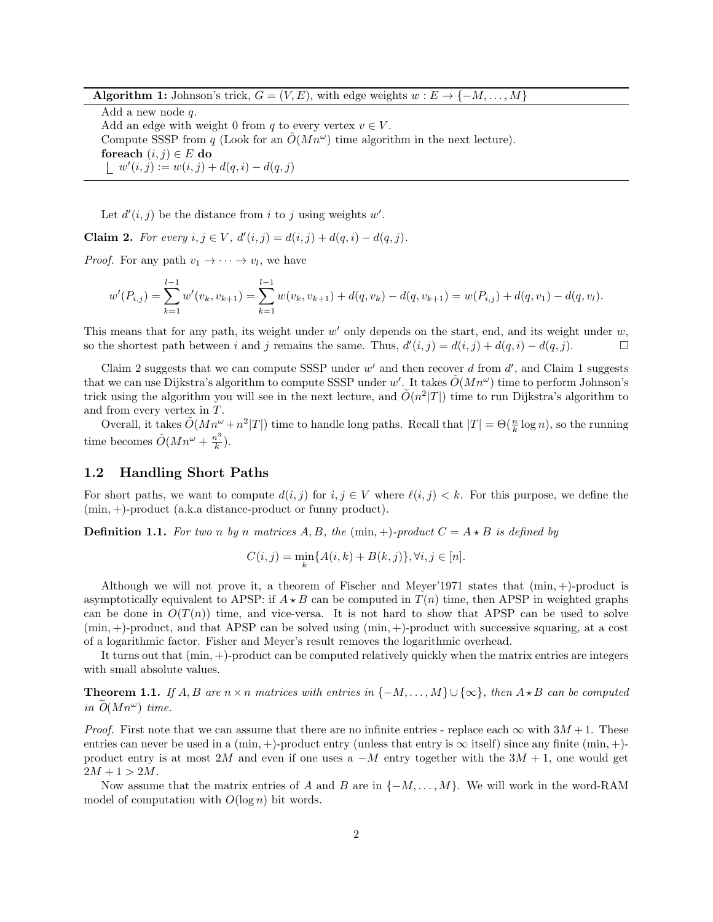Algorithm 1: Johnson's trick,  $G = (V, E)$ , with edge weights  $w : E \to \{-M, \ldots, M\}$ 

Add a new node q. Add an edge with weight 0 from q to every vertex  $v \in V$ . Compute SSSP from q (Look for an  $\tilde{O}(Mn^{\omega})$  time algorithm in the next lecture). foreach  $(i, j) \in E$  do  $w'(i, j) := w(i, j) + d(q, i) - d(q, j)$ 

Let  $d'(i, j)$  be the distance from i to j using weights w'.

**Claim 2.** For every  $i, j \in V$ ,  $d'(i, j) = d(i, j) + d(q, i) - d(q, j)$ .

*Proof.* For any path  $v_1 \rightarrow \cdots \rightarrow v_l$ , we have

$$
w'(P_{i,j}) = \sum_{k=1}^{l-1} w'(v_k, v_{k+1}) = \sum_{k=1}^{l-1} w(v_k, v_{k+1}) + d(q, v_k) - d(q, v_{k+1}) = w(P_{i,j}) + d(q, v_1) - d(q, v_l).
$$

This means that for any path, its weight under  $w'$  only depends on the start, end, and its weight under  $w$ , so the shortest path between i and j remains the same. Thus,  $d'(i, j) = d(i, j) + d(q, i) - d(q, j)$ .

Claim 2 suggests that we can compute SSSP under  $w'$  and then recover d from  $d'$ , and Claim 1 suggests that we can use Dijkstra's algorithm to compute SSSP under w'. It takes  $O(Mn^{\omega})$  time to perform Johnson's trick using the algorithm you will see in the next lecture, and  $\tilde{O}(n^2|T|)$  time to run Dijkstra's algorithm to and from every vertex in T.

Overall, it takes  $\tilde{O}(Mn^{\omega}+n^2|T|)$  time to handle long paths. Recall that  $|T| = \Theta(\frac{n}{k}\log n)$ , so the running time becomes  $\tilde{O}(Mn^{\omega} + \frac{n^3}{k})$  $\frac{i^{\circ}}{k}).$ 

#### 1.2 Handling Short Paths

For short paths, we want to compute  $d(i, j)$  for  $i, j \in V$  where  $\ell(i, j) < k$ . For this purpose, we define the (min, +)-product (a.k.a distance-product or funny product).

**Definition 1.1.** For two n by n matrices A, B, the (min, +)-product  $C = A \star B$  is defined by

$$
C(i, j) = \min_{k} \{ A(i, k) + B(k, j) \}, \forall i, j \in [n].
$$

Although we will not prove it, a theorem of Fischer and Meyer'1971 states that (min, +)-product is asymptotically equivalent to APSP: if  $A \star B$  can be computed in  $T(n)$  time, then APSP in weighted graphs can be done in  $O(T(n))$  time, and vice-versa. It is not hard to show that APSP can be used to solve  $(\min, +)$ -product, and that APSP can be solved using  $(\min, +)$ -product with successive squaring, at a cost of a logarithmic factor. Fisher and Meyer's result removes the logarithmic overhead.

It turns out that (min, +)-product can be computed relatively quickly when the matrix entries are integers with small absolute values.

**Theorem 1.1.** If A, B are  $n \times n$  matrices with entries in  $\{-M, \ldots, M\} \cup \{\infty\}$ , then  $A \star B$  can be computed in  $O(Mn^{\omega})$  time.

*Proof.* First note that we can assume that there are no infinite entries - replace each  $\infty$  with  $3M + 1$ . These entries can never be used in a  $(min, +)$ -product entry (unless that entry is  $\infty$  itself) since any finite  $(min, +)$ product entry is at most 2M and even if one uses a  $-M$  entry together with the  $3M + 1$ , one would get  $2M + 1 > 2M$ .

Now assume that the matrix entries of A and B are in  $\{-M, \ldots, M\}$ . We will work in the word-RAM model of computation with  $O(\log n)$  bit words.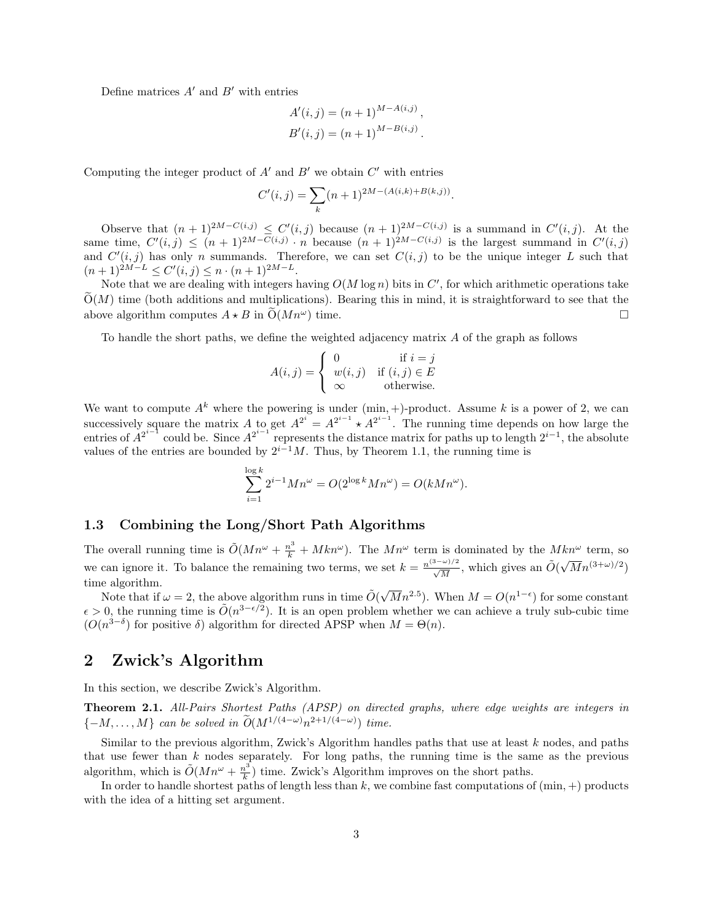Define matrices  $A'$  and  $B'$  with entries

$$
A'(i, j) = (n + 1)^{M - A(i, j)},
$$
  
\n
$$
B'(i, j) = (n + 1)^{M - B(i, j)}.
$$

Computing the integer product of  $A'$  and  $B'$  we obtain  $C'$  with entries

$$
C'(i,j) = \sum_{k} (n+1)^{2M - (A(i,k) + B(k,j))}.
$$

Observe that  $(n+1)^{2M-C(i,j)} \leq C'(i,j)$  because  $(n+1)^{2M-C(i,j)}$  is a summand in  $C'(i,j)$ . At the same time,  $C'(i, j) \leq (n+1)^{2M-C(i,j)} \cdot n$  because  $(n+1)^{2M-C(i,j)}$  is the largest summand in  $C'(i,j)$ and  $C'(i, j)$  has only n summands. Therefore, we can set  $C(i, j)$  to be the unique integer L such that  $(n+1)^{2M-L} \leq C'(i,j) \leq n \cdot (n+1)^{2M-L}.$ 

Note that we are dealing with integers having  $O(M \log n)$  bits in  $C'$ , for which arithmetic operations take  $\tilde{O}(M)$  time (both additions and multiplications). Bearing this in mind, it is straightforward to see that the above algorithm computes  $A \star B$  in  $\tilde{O}(Mn^{\omega})$  time. above algorithm computes  $A \star B$  in  $O(Mn^{\omega})$  time.

To handle the short paths, we define the weighted adjacency matrix A of the graph as follows

$$
A(i,j) = \begin{cases} 0 & \text{if } i = j \\ w(i,j) & \text{if } (i,j) \in E \\ \infty & \text{otherwise.} \end{cases}
$$

We want to compute  $A^k$  where the powering is under  $(\min, +)$ -product. Assume k is a power of 2, we can successively square the matrix A to get  $A^{2^i} = A^{2^{i-1}} \star A^{2^{i-1}}$ . The running time depends on how large the entries of  $A^{2^{i-1}}$  could be. Since  $A^{2^{i-1}}$  represents the distance matrix for paths up to length  $2^{i-1}$ , the absolute values of the entries are bounded by  $2^{i-1}M$ . Thus, by Theorem 1.1, the running time is

$$
\sum_{i=1}^{\log k} 2^{i-1} M n^{\omega} = O(2^{\log k} M n^{\omega}) = O(k M n^{\omega}).
$$

### 1.3 Combining the Long/Short Path Algorithms

The overall running time is  $\tilde{O}(Mn^{\omega} + \frac{n^3}{k} + Mkn^{\omega})$ . The  $Mn^{\omega}$  term is dominated by the  $Mkn^{\omega}$  term, so we can ignore it. To balance the remaining two terms, we set  $k = \frac{n^{(3-\omega)/2}}{\sqrt{M}}$ , which gives an  $\tilde{O}(\sqrt{M}n^{(3+\omega)/2})$ time algorithm.

e aigorithm.<br>Note that if  $\omega = 2$ , the above algorithm runs in time  $\tilde{O}(\sqrt{M}n^{2.5})$ . When  $M = O(n^{1-\epsilon})$  for some constant  $\epsilon > 0$ , the running time is  $\tilde{O}(n^{3-\epsilon/2})$ . It is an open problem whether we can achieve a truly sub-cubic time  $(O(n^{3-\delta})$  for positive  $\delta)$  algorithm for directed APSP when  $M = \Theta(n)$ .

# 2 Zwick's Algorithm

In this section, we describe Zwick's Algorithm.

Theorem 2.1. All-Pairs Shortest Paths (APSP) on directed graphs, where edge weights are integers in  $\{-M, \ldots, M\}$  can be solved in  $\widetilde{O}(M^{1/(4-\omega)}n^{2+1/(4-\omega)})$  time.

Similar to the previous algorithm, Zwick's Algorithm handles paths that use at least  $k$  nodes, and paths that use fewer than  $k$  nodes separately. For long paths, the running time is the same as the previous algorithm, which is  $\tilde{O}(Mn^{\omega} + \frac{n^3}{k})$  $\frac{h^2}{k}$ ) time. Zwick's Algorithm improves on the short paths.

In order to handle shortest paths of length less than  $k$ , we combine fast computations of  $(\min, +)$  products with the idea of a hitting set argument.